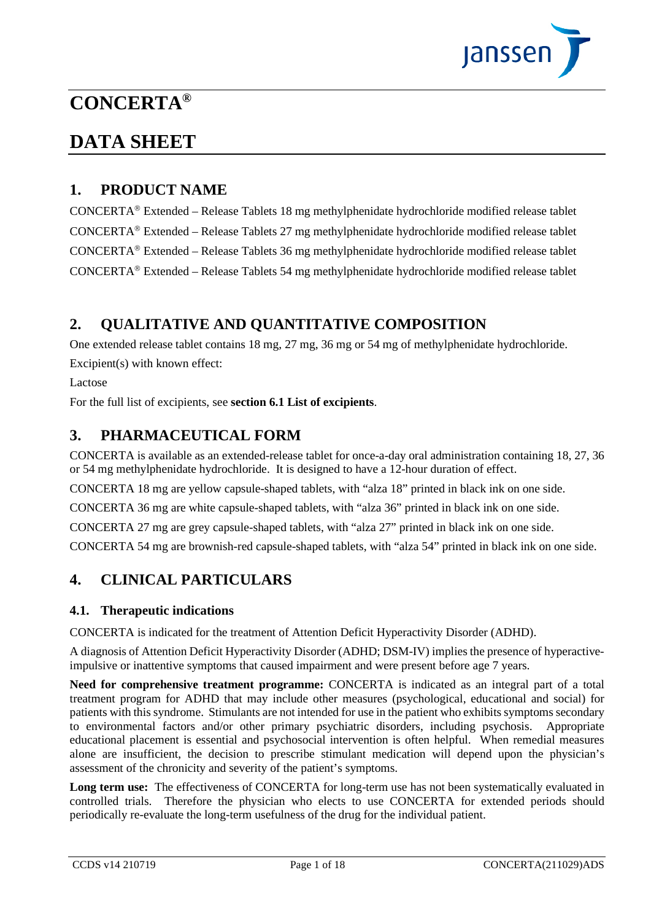

# **CONCERTA®**

# **DATA SHEET**

## **1. PRODUCT NAME**

 $CONCERTA<sup>®</sup> Extended – Release Tables 18 mg methylphenidate hydrochloride modified release tablet$  $CONCERTA<sup>®</sup> Extended – Release Tables 27 mg methylphenidate hydrochloride modified release tablet$  $CONCERTA<sup>®</sup> Extended – Release Tables 36 mg methylphenidate hydrochloride modified release tablet$  $CONCERTA<sup>®</sup> Extended – Release Tables 54 mg methylphenidate hydrochloride modified release tablet$ 

# **2. QUALITATIVE AND QUANTITATIVE COMPOSITION**

One extended release tablet contains 18 mg, 27 mg, 36 mg or 54 mg of methylphenidate hydrochloride. Excipient(s) with known effect:

Lactose

For the full list of excipients, see **section [6.1](#page-16-0) [List of excipients](#page-16-0)**.

## **3. PHARMACEUTICAL FORM**

CONCERTA is available as an extended-release tablet for once-a-day oral administration containing 18, 27, 36 or 54 mg methylphenidate hydrochloride. It is designed to have a 12-hour duration of effect.

CONCERTA 18 mg are yellow capsule-shaped tablets, with "alza 18" printed in black ink on one side.

CONCERTA 36 mg are white capsule-shaped tablets, with "alza 36" printed in black ink on one side.

CONCERTA 27 mg are grey capsule-shaped tablets, with "alza 27" printed in black ink on one side.

CONCERTA 54 mg are brownish-red capsule-shaped tablets, with "alza 54" printed in black ink on one side.

# **4. CLINICAL PARTICULARS**

#### **4.1. Therapeutic indications**

CONCERTA is indicated for the treatment of Attention Deficit Hyperactivity Disorder (ADHD).

A diagnosis of Attention Deficit Hyperactivity Disorder (ADHD; DSM-IV) implies the presence of hyperactiveimpulsive or inattentive symptoms that caused impairment and were present before age 7 years.

**Need for comprehensive treatment programme:** CONCERTA is indicated as an integral part of a total treatment program for ADHD that may include other measures (psychological, educational and social) for patients with this syndrome. Stimulants are not intended for use in the patient who exhibits symptoms secondary to environmental factors and/or other primary psychiatric disorders, including psychosis. Appropriate educational placement is essential and psychosocial intervention is often helpful. When remedial measures alone are insufficient, the decision to prescribe stimulant medication will depend upon the physician's assessment of the chronicity and severity of the patient's symptoms.

**Long term use:** The effectiveness of CONCERTA for long-term use has not been systematically evaluated in controlled trials. Therefore the physician who elects to use CONCERTA for extended periods should periodically re-evaluate the long-term usefulness of the drug for the individual patient.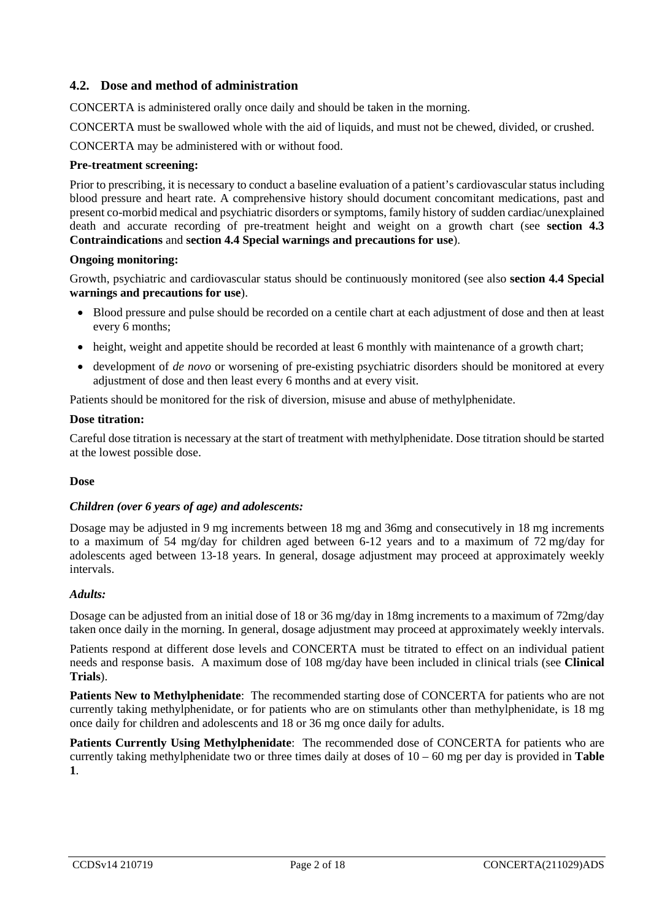#### <span id="page-1-0"></span>**4.2. Dose and method of administration**

CONCERTA is administered orally once daily and should be taken in the morning.

CONCERTA must be swallowed whole with the aid of liquids, and must not be chewed, divided, or crushed.

CONCERTA may be administered with or without food.

#### **Pre-treatment screening:**

Prior to prescribing, it is necessary to conduct a baseline evaluation of a patient's cardiovascular status including blood pressure and heart rate. A comprehensive history should document concomitant medications, past and present co-morbid medical and psychiatric disorders or symptoms, family history of sudden cardiac/unexplained death and accurate recording of pre-treatment height and weight on a growth chart (see **section [4.3](#page-2-0) [Contraindications](#page-2-0)** and **section [4.4](#page-3-0) [Special warnings and precautions for use](#page-3-0)**).

#### **Ongoing monitoring:**

Growth, psychiatric and cardiovascular status should be continuously monitored (see also **section [4.4](#page-3-0) [Special](#page-3-0)  [warnings and precautions for use](#page-3-0)**).

- Blood pressure and pulse should be recorded on a centile chart at each adjustment of dose and then at least every 6 months;
- height, weight and appetite should be recorded at least 6 monthly with maintenance of a growth chart;
- development of *de novo* or worsening of pre-existing psychiatric disorders should be monitored at every adjustment of dose and then least every 6 months and at every visit.

Patients should be monitored for the risk of diversion, misuse and abuse of methylphenidate.

#### **Dose titration:**

Careful dose titration is necessary at the start of treatment with methylphenidate. Dose titration should be started at the lowest possible dose.

#### **Dose**

#### *Children (over 6 years of age) and adolescents:*

Dosage may be adjusted in 9 mg increments between 18 mg and 36mg and consecutively in 18 mg increments to a maximum of 54 mg/day for children aged between 6-12 years and to a maximum of 72 mg/day for adolescents aged between 13-18 years. In general, dosage adjustment may proceed at approximately weekly intervals.

#### *Adults:*

Dosage can be adjusted from an initial dose of 18 or 36 mg/day in 18mg increments to a maximum of 72mg/day taken once daily in the morning. In general, dosage adjustment may proceed at approximately weekly intervals.

Patients respond at different dose levels and CONCERTA must be titrated to effect on an individual patient needs and response basis. A maximum dose of 108 mg/day have been included in clinical trials (see **[Clinical](#page-13-0)  [Trials](#page-13-0)**).

**Patients New to Methylphenidate**: The recommended starting dose of CONCERTA for patients who are not currently taking methylphenidate, or for patients who are on stimulants other than methylphenidate, is 18 mg once daily for children and adolescents and 18 or 36 mg once daily for adults.

**Patients Currently Using Methylphenidate**: The recommended dose of CONCERTA for patients who are currently taking methylphenidate two or three times daily at doses of 10 – 60 mg per day is provided in **[Table](#page-2-1)  [1](#page-2-1)**.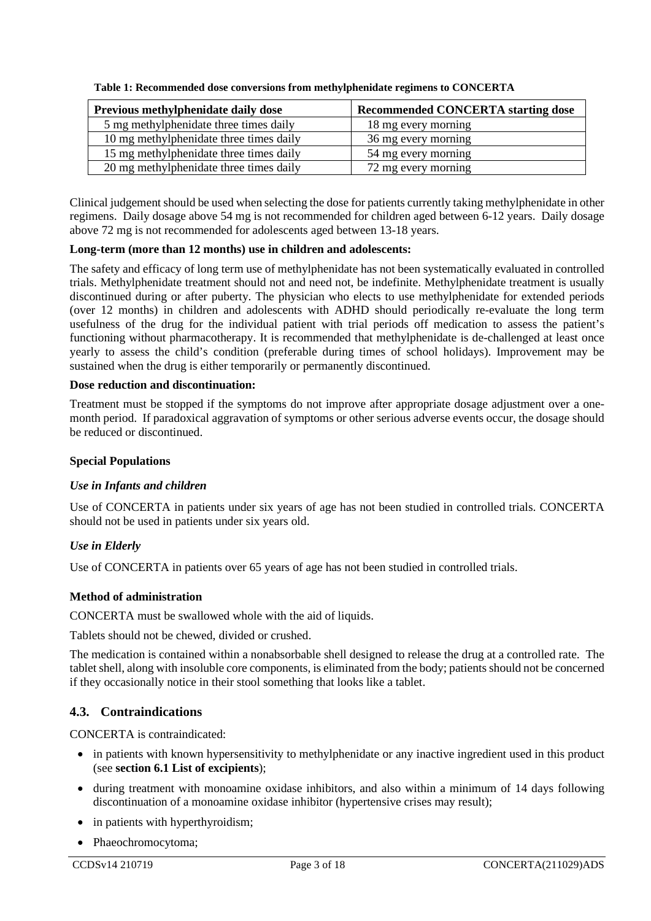| Previous methylphenidate daily dose     | <b>Recommended CONCERTA starting dose</b> |
|-----------------------------------------|-------------------------------------------|
| 5 mg methylphenidate three times daily  | 18 mg every morning                       |
| 10 mg methylphenidate three times daily | 36 mg every morning                       |
| 15 mg methylphenidate three times daily | 54 mg every morning                       |
| 20 mg methylphenidate three times daily | 72 mg every morning                       |

<span id="page-2-1"></span>**Table 1: Recommended dose conversions from methylphenidate regimens to CONCERTA**

Clinical judgement should be used when selecting the dose for patients currently taking methylphenidate in other regimens. Daily dosage above 54 mg is not recommended for children aged between 6-12 years. Daily dosage above 72 mg is not recommended for adolescents aged between 13-18 years.

#### **Long-term (more than 12 months) use in children and adolescents:**

The safety and efficacy of long term use of methylphenidate has not been systematically evaluated in controlled trials. Methylphenidate treatment should not and need not, be indefinite. Methylphenidate treatment is usually discontinued during or after puberty. The physician who elects to use methylphenidate for extended periods (over 12 months) in children and adolescents with ADHD should periodically re-evaluate the long term usefulness of the drug for the individual patient with trial periods off medication to assess the patient's functioning without pharmacotherapy. It is recommended that methylphenidate is de-challenged at least once yearly to assess the child's condition (preferable during times of school holidays). Improvement may be sustained when the drug is either temporarily or permanently discontinued.

#### **Dose reduction and discontinuation:**

Treatment must be stopped if the symptoms do not improve after appropriate dosage adjustment over a onemonth period. If paradoxical aggravation of symptoms or other serious adverse events occur, the dosage should be reduced or discontinued.

#### **Special Populations**

#### *Use in Infants and children*

Use of CONCERTA in patients under six years of age has not been studied in controlled trials. CONCERTA should not be used in patients under six years old.

#### *Use in Elderly*

Use of CONCERTA in patients over 65 years of age has not been studied in controlled trials.

#### **Method of administration**

CONCERTA must be swallowed whole with the aid of liquids.

Tablets should not be chewed, divided or crushed.

The medication is contained within a nonabsorbable shell designed to release the drug at a controlled rate. The tablet shell, along with insoluble core components, is eliminated from the body; patients should not be concerned if they occasionally notice in their stool something that looks like a tablet.

#### <span id="page-2-0"></span>**4.3. Contraindications**

CONCERTA is contraindicated:

- in patients with known hypersensitivity to methylphenidate or any inactive ingredient used in this product (see **sectio[n 6.1](#page-16-0) [List of excipients](#page-16-0)**);
- during treatment with monoamine oxidase inhibitors, and also within a minimum of 14 days following discontinuation of a monoamine oxidase inhibitor (hypertensive crises may result);
- in patients with hyperthyroidism;
- Phaeochromocytoma;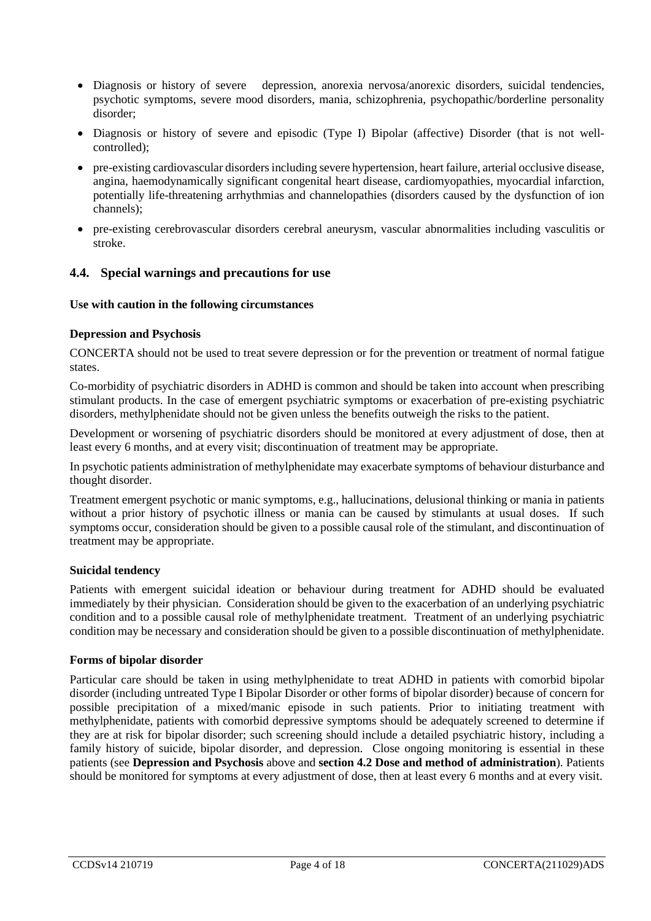- Diagnosis or history of severe depression, anorexia nervosa/anorexic disorders, suicidal tendencies, psychotic symptoms, severe mood disorders, mania, schizophrenia, psychopathic/borderline personality disorder;
- Diagnosis or history of severe and episodic (Type I) Bipolar (affective) Disorder (that is not wellcontrolled);
- pre-existing cardiovascular disorders including severe hypertension, heart failure, arterial occlusive disease, angina, haemodynamically significant congenital heart disease, cardiomyopathies, myocardial infarction, potentially life-threatening arrhythmias and channelopathies (disorders caused by the dysfunction of ion channels);
- pre-existing cerebrovascular disorders cerebral aneurysm, vascular abnormalities including vasculitis or stroke.

#### <span id="page-3-0"></span>**4.4. Special warnings and precautions for use**

#### **Use with caution in the following circumstances**

#### <span id="page-3-1"></span>**Depression and Psychosis**

CONCERTA should not be used to treat severe depression or for the prevention or treatment of normal fatigue states.

Co-morbidity of psychiatric disorders in ADHD is common and should be taken into account when prescribing stimulant products. In the case of emergent psychiatric symptoms or exacerbation of pre-existing psychiatric disorders, methylphenidate should not be given unless the benefits outweigh the risks to the patient.

Development or worsening of psychiatric disorders should be monitored at every adjustment of dose, then at least every 6 months, and at every visit; discontinuation of treatment may be appropriate.

In psychotic patients administration of methylphenidate may exacerbate symptoms of behaviour disturbance and thought disorder.

Treatment emergent psychotic or manic symptoms, e.g., hallucinations, delusional thinking or mania in patients without a prior history of psychotic illness or mania can be caused by stimulants at usual doses. If such symptoms occur, consideration should be given to a possible causal role of the stimulant, and discontinuation of treatment may be appropriate.

#### **Suicidal tendency**

Patients with emergent suicidal ideation or behaviour during treatment for ADHD should be evaluated immediately by their physician. Consideration should be given to the exacerbation of an underlying psychiatric condition and to a possible causal role of methylphenidate treatment. Treatment of an underlying psychiatric condition may be necessary and consideration should be given to a possible discontinuation of methylphenidate.

#### **Forms of bipolar disorder**

Particular care should be taken in using methylphenidate to treat ADHD in patients with comorbid bipolar disorder (including untreated Type I Bipolar Disorder or other forms of bipolar disorder) because of concern for possible precipitation of a mixed/manic episode in such patients. Prior to initiating treatment with methylphenidate, patients with comorbid depressive symptoms should be adequately screened to determine if they are at risk for bipolar disorder; such screening should include a detailed psychiatric history, including a family history of suicide, bipolar disorder, and depression. Close ongoing monitoring is essential in these patients (see **[Depression and Psychosis](#page-3-1)** above and **section [4.2](#page-1-0) [Dose and method of administration](#page-1-0)**). Patients should be monitored for symptoms at every adjustment of dose, then at least every 6 months and at every visit.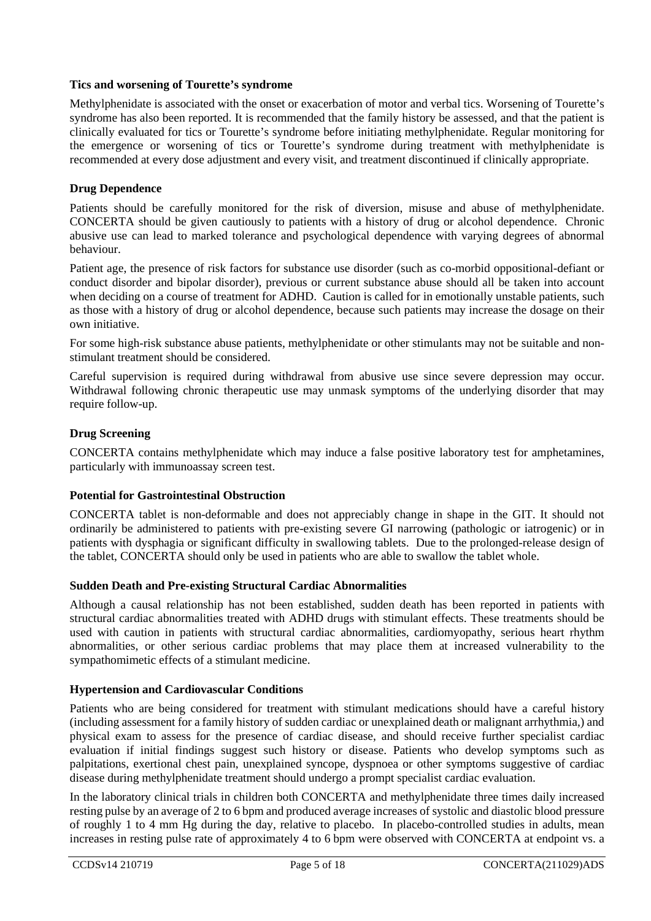#### **Tics and worsening of Tourette's syndrome**

Methylphenidate is associated with the onset or exacerbation of motor and verbal tics. Worsening of Tourette's syndrome has also been reported. It is recommended that the family history be assessed, and that the patient is clinically evaluated for tics or Tourette's syndrome before initiating methylphenidate. Regular monitoring for the emergence or worsening of tics or Tourette's syndrome during treatment with methylphenidate is recommended at every dose adjustment and every visit, and treatment discontinued if clinically appropriate.

#### **Drug Dependence**

Patients should be carefully monitored for the risk of diversion, misuse and abuse of methylphenidate. CONCERTA should be given cautiously to patients with a history of drug or alcohol dependence. Chronic abusive use can lead to marked tolerance and psychological dependence with varying degrees of abnormal behaviour.

Patient age, the presence of risk factors for substance use disorder (such as co-morbid oppositional-defiant or conduct disorder and bipolar disorder), previous or current substance abuse should all be taken into account when deciding on a course of treatment for ADHD. Caution is called for in emotionally unstable patients, such as those with a history of drug or alcohol dependence, because such patients may increase the dosage on their own initiative.

For some high-risk substance abuse patients, methylphenidate or other stimulants may not be suitable and nonstimulant treatment should be considered.

Careful supervision is required during withdrawal from abusive use since severe depression may occur. Withdrawal following chronic therapeutic use may unmask symptoms of the underlying disorder that may require follow-up.

#### **Drug Screening**

CONCERTA contains methylphenidate which may induce a false positive laboratory test for amphetamines, particularly with immunoassay screen test.

#### **Potential for Gastrointestinal Obstruction**

CONCERTA tablet is non-deformable and does not appreciably change in shape in the GIT. It should not ordinarily be administered to patients with pre-existing severe GI narrowing (pathologic or iatrogenic) or in patients with dysphagia or significant difficulty in swallowing tablets. Due to the prolonged-release design of the tablet, CONCERTA should only be used in patients who are able to swallow the tablet whole.

#### **Sudden Death and Pre-existing Structural Cardiac Abnormalities**

Although a causal relationship has not been established, sudden death has been reported in patients with structural cardiac abnormalities treated with ADHD drugs with stimulant effects. These treatments should be used with caution in patients with structural cardiac abnormalities, cardiomyopathy, serious heart rhythm abnormalities, or other serious cardiac problems that may place them at increased vulnerability to the sympathomimetic effects of a stimulant medicine.

#### **Hypertension and Cardiovascular Conditions**

Patients who are being considered for treatment with stimulant medications should have a careful history (including assessment for a family history of sudden cardiac or unexplained death or malignant arrhythmia,) and physical exam to assess for the presence of cardiac disease, and should receive further specialist cardiac evaluation if initial findings suggest such history or disease. Patients who develop symptoms such as palpitations, exertional chest pain, unexplained syncope, dyspnoea or other symptoms suggestive of cardiac disease during methylphenidate treatment should undergo a prompt specialist cardiac evaluation.

In the laboratory clinical trials in children both CONCERTA and methylphenidate three times daily increased resting pulse by an average of 2 to 6 bpm and produced average increases of systolic and diastolic blood pressure of roughly 1 to 4 mm Hg during the day, relative to placebo. In placebo-controlled studies in adults, mean increases in resting pulse rate of approximately 4 to 6 bpm were observed with CONCERTA at endpoint vs. a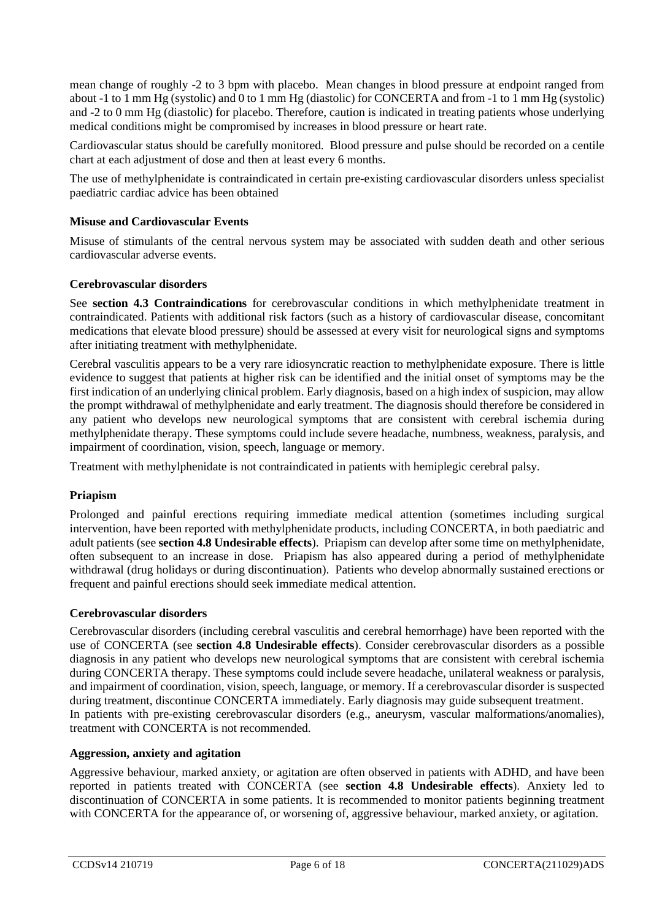mean change of roughly -2 to 3 bpm with placebo. Mean changes in blood pressure at endpoint ranged from about -1 to 1 mm Hg (systolic) and 0 to 1 mm Hg (diastolic) for CONCERTA and from -1 to 1 mm Hg (systolic) and -2 to 0 mm Hg (diastolic) for placebo. Therefore, caution is indicated in treating patients whose underlying medical conditions might be compromised by increases in blood pressure or heart rate.

Cardiovascular status should be carefully monitored. Blood pressure and pulse should be recorded on a centile chart at each adjustment of dose and then at least every 6 months.

The use of methylphenidate is contraindicated in certain pre-existing cardiovascular disorders unless specialist paediatric cardiac advice has been obtained

#### **Misuse and Cardiovascular Events**

Misuse of stimulants of the central nervous system may be associated with sudden death and other serious cardiovascular adverse events.

#### **Cerebrovascular disorders**

See **section [4.3](#page-2-0) [Contraindications](#page-2-0)** for cerebrovascular conditions in which methylphenidate treatment in contraindicated. Patients with additional risk factors (such as a history of cardiovascular disease, concomitant medications that elevate blood pressure) should be assessed at every visit for neurological signs and symptoms after initiating treatment with methylphenidate.

Cerebral vasculitis appears to be a very rare idiosyncratic reaction to methylphenidate exposure. There is little evidence to suggest that patients at higher risk can be identified and the initial onset of symptoms may be the first indication of an underlying clinical problem. Early diagnosis, based on a high index of suspicion, may allow the prompt withdrawal of methylphenidate and early treatment. The diagnosis should therefore be considered in any patient who develops new neurological symptoms that are consistent with cerebral ischemia during methylphenidate therapy. These symptoms could include severe headache, numbness, weakness, paralysis, and impairment of coordination, vision, speech, language or memory.

Treatment with methylphenidate is not contraindicated in patients with hemiplegic cerebral palsy.

#### **Priapism**

Prolonged and painful erections requiring immediate medical attention (sometimes including surgical intervention, have been reported with methylphenidate products, including CONCERTA, in both paediatric and adult patients (see **section [4.8](#page-8-0) [Undesirable effects](#page-8-0)**). Priapism can develop after some time on methylphenidate, often subsequent to an increase in dose. Priapism has also appeared during a period of methylphenidate withdrawal (drug holidays or during discontinuation). Patients who develop abnormally sustained erections or frequent and painful erections should seek immediate medical attention.

#### **Cerebrovascular disorders**

Cerebrovascular disorders (including cerebral vasculitis and cerebral hemorrhage) have been reported with the use of CONCERTA (see **section 4.8 Undesirable effects**). Consider cerebrovascular disorders as a possible diagnosis in any patient who develops new neurological symptoms that are consistent with cerebral ischemia during CONCERTA therapy. These symptoms could include severe headache, unilateral weakness or paralysis, and impairment of coordination, vision, speech, language, or memory. If a cerebrovascular disorder is suspected during treatment, discontinue CONCERTA immediately. Early diagnosis may guide subsequent treatment. In patients with pre-existing cerebrovascular disorders (e.g., aneurysm, vascular malformations/anomalies), treatment with CONCERTA is not recommended.

#### **Aggression, anxiety and agitation**

Aggressive behaviour, marked anxiety, or agitation are often observed in patients with ADHD, and have been reported in patients treated with CONCERTA (see **section [4.8](#page-8-0) [Undesirable effects](#page-8-0)**). Anxiety led to discontinuation of CONCERTA in some patients. It is recommended to monitor patients beginning treatment with CONCERTA for the appearance of, or worsening of, aggressive behaviour, marked anxiety, or agitation.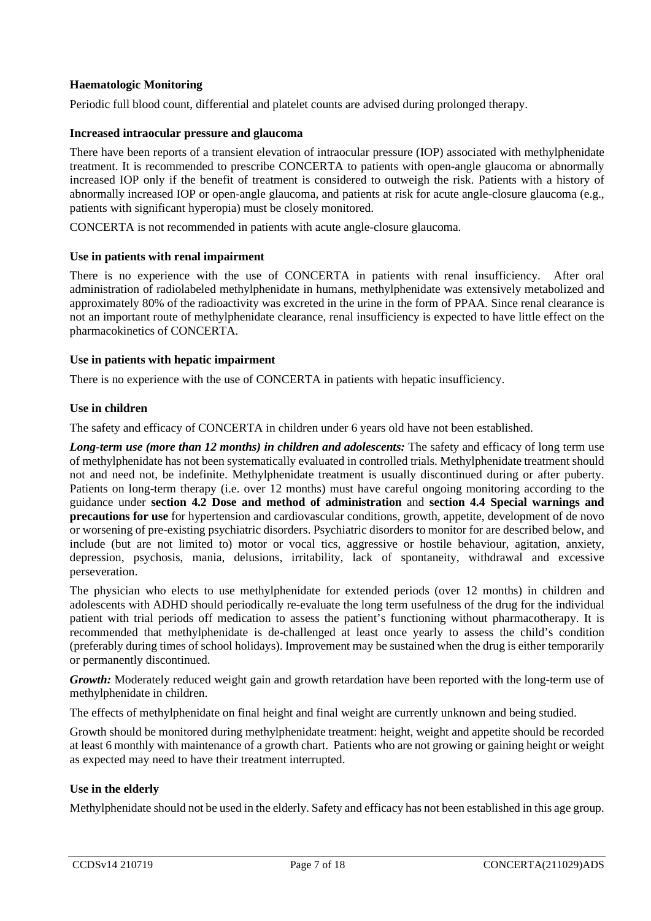#### **Haematologic Monitoring**

Periodic full blood count, differential and platelet counts are advised during prolonged therapy.

#### **Increased intraocular pressure and glaucoma**

There have been reports of a transient elevation of intraocular pressure (IOP) associated with methylphenidate treatment. It is recommended to prescribe CONCERTA to patients with open-angle glaucoma or abnormally increased IOP only if the benefit of treatment is considered to outweigh the risk. Patients with a history of abnormally increased IOP or open-angle glaucoma, and patients at risk for acute angle-closure glaucoma (e.g., patients with significant hyperopia) must be closely monitored.

CONCERTA is not recommended in patients with acute angle-closure glaucoma.

#### **Use in patients with renal impairment**

There is no experience with the use of CONCERTA in patients with renal insufficiency. After oral administration of radiolabeled methylphenidate in humans, methylphenidate was extensively metabolized and approximately 80% of the radioactivity was excreted in the urine in the form of PPAA. Since renal clearance is not an important route of methylphenidate clearance, renal insufficiency is expected to have little effect on the pharmacokinetics of CONCERTA.

#### **Use in patients with hepatic impairment**

There is no experience with the use of CONCERTA in patients with hepatic insufficiency.

#### **Use in children**

The safety and efficacy of CONCERTA in children under 6 years old have not been established.

*Long-term use (more than 12 months) in children and adolescents:* The safety and efficacy of long term use of methylphenidate has not been systematically evaluated in controlled trials. Methylphenidate treatment should not and need not, be indefinite. Methylphenidate treatment is usually discontinued during or after puberty. Patients on long-term therapy (i.e. over 12 months) must have careful ongoing monitoring according to the guidance under **section [4.2](#page-1-0) [Dose and method of administration](#page-1-0)** and **section [4.4](#page-3-0) [Special warnings and](#page-3-0)  [precautions for use](#page-3-0)** for hypertension and cardiovascular conditions, growth, appetite, development of de novo or worsening of pre-existing psychiatric disorders. Psychiatric disorders to monitor for are described below, and include (but are not limited to) motor or vocal tics, aggressive or hostile behaviour, agitation, anxiety, depression, psychosis, mania, delusions, irritability, lack of spontaneity, withdrawal and excessive perseveration.

The physician who elects to use methylphenidate for extended periods (over 12 months) in children and adolescents with ADHD should periodically re-evaluate the long term usefulness of the drug for the individual patient with trial periods off medication to assess the patient's functioning without pharmacotherapy. It is recommended that methylphenidate is de-challenged at least once yearly to assess the child's condition (preferably during times of school holidays). Improvement may be sustained when the drug is either temporarily or permanently discontinued.

*Growth:* Moderately reduced weight gain and growth retardation have been reported with the long-term use of methylphenidate in children.

The effects of methylphenidate on final height and final weight are currently unknown and being studied.

Growth should be monitored during methylphenidate treatment: height, weight and appetite should be recorded at least 6 monthly with maintenance of a growth chart. Patients who are not growing or gaining height or weight as expected may need to have their treatment interrupted.

#### **Use in the elderly**

Methylphenidate should not be used in the elderly. Safety and efficacy has not been established in this age group.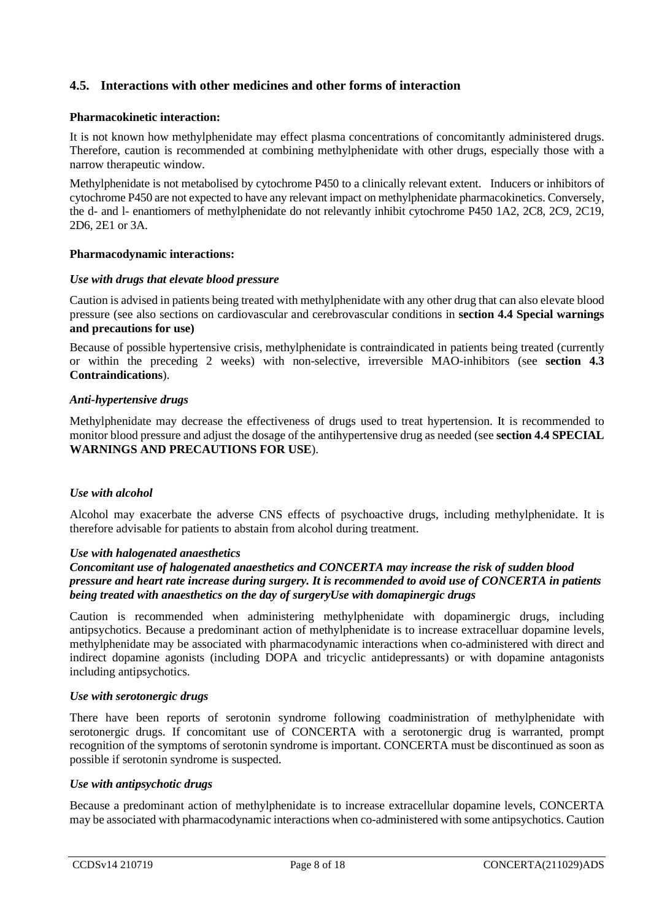#### **4.5. Interactions with other medicines and other forms of interaction**

#### **Pharmacokinetic interaction:**

It is not known how methylphenidate may effect plasma concentrations of concomitantly administered drugs. Therefore, caution is recommended at combining methylphenidate with other drugs, especially those with a narrow therapeutic window.

Methylphenidate is not metabolised by cytochrome P450 to a clinically relevant extent. Inducers or inhibitors of cytochrome P450 are not expected to have any relevant impact on methylphenidate pharmacokinetics. Conversely, the d- and l- enantiomers of methylphenidate do not relevantly inhibit cytochrome P450 1A2, 2C8, 2C9, 2C19, 2D6, 2E1 or 3A.

#### **Pharmacodynamic interactions:**

#### *Use with drugs that elevate blood pressure*

Caution is advised in patients being treated with methylphenidate with any other drug that can also elevate blood pressure (see also sections on cardiovascular and cerebrovascular conditions in **section [4.4](#page-3-0) [Special warnings](#page-3-0)  [and precautions for use\)](#page-3-0)**

Because of possible hypertensive crisis, methylphenidate is contraindicated in patients being treated (currently or within the preceding 2 weeks) with non-selective, irreversible MAO-inhibitors (see **section [4.3](#page-2-0) [Contraindications](#page-2-0)**).

#### *Anti-hypertensive drugs*

Methylphenidate may decrease the effectiveness of drugs used to treat hypertension. It is recommended to monitor blood pressure and adjust the dosage of the antihypertensive drug as needed (see **section 4.4 SPECIAL WARNINGS AND PRECAUTIONS FOR USE**).

#### *Use with alcohol*

Alcohol may exacerbate the adverse CNS effects of psychoactive drugs, including methylphenidate. It is therefore advisable for patients to abstain from alcohol during treatment.

#### *Use with halogenated anaesthetics*

#### *Concomitant use of halogenated anaesthetics and CONCERTA may increase the risk of sudden blood pressure and heart rate increase during surgery. It is recommended to avoid use of CONCERTA in patients being treated with anaesthetics on the day of surgeryUse with domapinergic drugs*

Caution is recommended when administering methylphenidate with dopaminergic drugs, including antipsychotics. Because a predominant action of methylphenidate is to increase extracelluar dopamine levels, methylphenidate may be associated with pharmacodynamic interactions when co-administered with direct and indirect dopamine agonists (including DOPA and tricyclic antidepressants) or with dopamine antagonists including antipsychotics.

#### *Use with serotonergic drugs*

There have been reports of serotonin syndrome following coadministration of methylphenidate with serotonergic drugs. If concomitant use of CONCERTA with a serotonergic drug is warranted, prompt recognition of the symptoms of serotonin syndrome is important. CONCERTA must be discontinued as soon as possible if serotonin syndrome is suspected.

#### *Use with antipsychotic drugs*

Because a predominant action of methylphenidate is to increase extracellular dopamine levels, CONCERTA may be associated with pharmacodynamic interactions when co-administered with some antipsychotics. Caution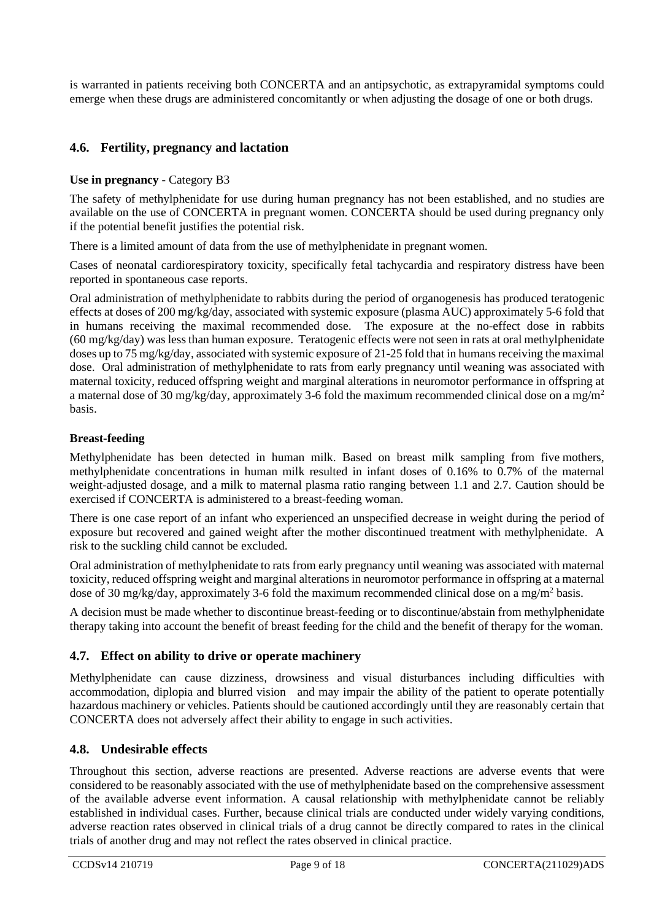is warranted in patients receiving both CONCERTA and an antipsychotic, as extrapyramidal symptoms could emerge when these drugs are administered concomitantly or when adjusting the dosage of one or both drugs.

#### **4.6. Fertility, pregnancy and lactation**

#### **Use in pregnancy -** Category B3

The safety of methylphenidate for use during human pregnancy has not been established, and no studies are available on the use of CONCERTA in pregnant women. CONCERTA should be used during pregnancy only if the potential benefit justifies the potential risk.

There is a limited amount of data from the use of methylphenidate in pregnant women.

Cases of neonatal cardiorespiratory toxicity, specifically fetal tachycardia and respiratory distress have been reported in spontaneous case reports.

Oral administration of methylphenidate to rabbits during the period of organogenesis has produced teratogenic effects at doses of 200 mg/kg/day, associated with systemic exposure (plasma AUC) approximately 5-6 fold that in humans receiving the maximal recommended dose. The exposure at the no-effect dose in rabbits (60 mg/kg/day) was less than human exposure. Teratogenic effects were not seen in rats at oral methylphenidate doses up to 75 mg/kg/day, associated with systemic exposure of 21-25 fold that in humans receiving the maximal dose. Oral administration of methylphenidate to rats from early pregnancy until weaning was associated with maternal toxicity, reduced offspring weight and marginal alterations in neuromotor performance in offspring at a maternal dose of 30 mg/kg/day, approximately 3-6 fold the maximum recommended clinical dose on a mg/m2 basis.

#### **Breast-feeding**

Methylphenidate has been detected in human milk. Based on breast milk sampling from five mothers, methylphenidate concentrations in human milk resulted in infant doses of 0.16% to 0.7% of the maternal weight-adjusted dosage, and a milk to maternal plasma ratio ranging between 1.1 and 2.7. Caution should be exercised if CONCERTA is administered to a breast-feeding woman.

There is one case report of an infant who experienced an unspecified decrease in weight during the period of exposure but recovered and gained weight after the mother discontinued treatment with methylphenidate. A risk to the suckling child cannot be excluded.

Oral administration of methylphenidate to rats from early pregnancy until weaning was associated with maternal toxicity, reduced offspring weight and marginal alterations in neuromotor performance in offspring at a maternal dose of 30 mg/kg/day, approximately 3-6 fold the maximum recommended clinical dose on a mg/m<sup>2</sup> basis.

A decision must be made whether to discontinue breast-feeding or to discontinue/abstain from methylphenidate therapy taking into account the benefit of breast feeding for the child and the benefit of therapy for the woman.

#### **4.7. Effect on ability to drive or operate machinery**

Methylphenidate can cause dizziness, drowsiness and visual disturbances including difficulties with accommodation, diplopia and blurred vision and may impair the ability of the patient to operate potentially hazardous machinery or vehicles. Patients should be cautioned accordingly until they are reasonably certain that CONCERTA does not adversely affect their ability to engage in such activities.

#### <span id="page-8-0"></span>**4.8. Undesirable effects**

Throughout this section, adverse reactions are presented. Adverse reactions are adverse events that were considered to be reasonably associated with the use of methylphenidate based on the comprehensive assessment of the available adverse event information. A causal relationship with methylphenidate cannot be reliably established in individual cases. Further, because clinical trials are conducted under widely varying conditions, adverse reaction rates observed in clinical trials of a drug cannot be directly compared to rates in the clinical trials of another drug and may not reflect the rates observed in clinical practice.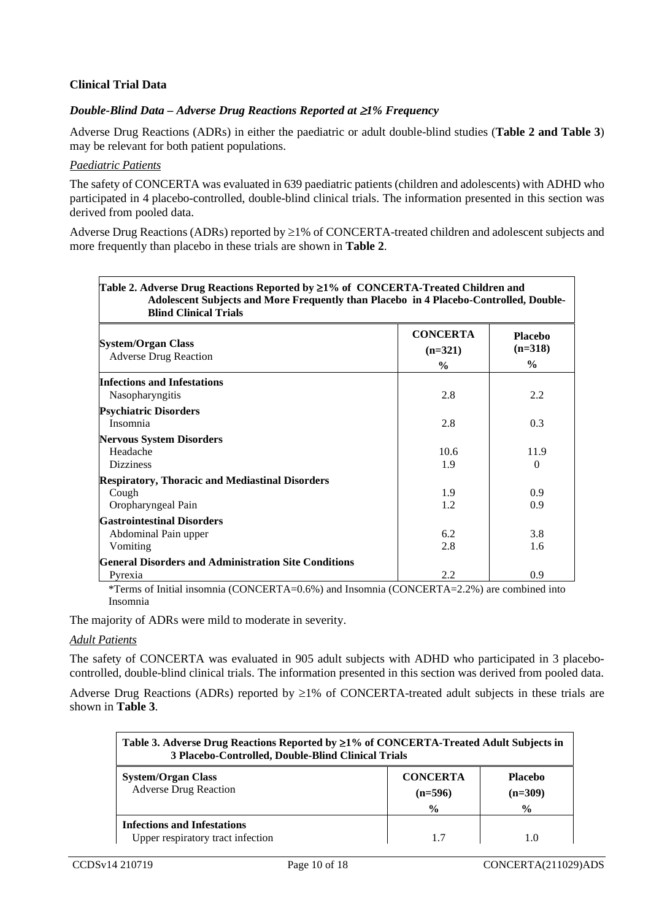#### **Clinical Trial Data**

#### *Double-Blind Data – Adverse Drug Reactions Reported at* ≥*1% Frequency*

Adverse Drug Reactions (ADRs) in either the paediatric or adult double-blind studies (**[Table 2](#page-9-0) and [Table 3](#page-9-1)**) may be relevant for both patient populations.

#### *Paediatric Patients*

The safety of CONCERTA was evaluated in 639 paediatric patients (children and adolescents) with ADHD who participated in 4 placebo-controlled, double-blind clinical trials. The information presented in this section was derived from pooled data.

Adverse Drug Reactions (ADRs) reported by ≥1% of CONCERTA-treated children and adolescent subjects and more frequently than placebo in these trials are shown in **[Table 2](#page-9-0)**.

<span id="page-9-0"></span>

| Table 2. Adverse Drug Reactions Reported by $\geq$ 1% of CONCERTA-Treated Children and<br>Adolescent Subjects and More Frequently than Placebo in 4 Placebo-Controlled, Double- |                                               |                                              |
|---------------------------------------------------------------------------------------------------------------------------------------------------------------------------------|-----------------------------------------------|----------------------------------------------|
| <b>Blind Clinical Trials</b><br><b>System/Organ Class</b><br><b>Adverse Drug Reaction</b>                                                                                       | <b>CONCERTA</b><br>$(n=321)$<br>$\frac{6}{9}$ | <b>Placebo</b><br>$(n=318)$<br>$\frac{6}{6}$ |
| <b>Infections and Infestations</b><br>Nasopharyngitis                                                                                                                           | 2.8                                           | 2.2                                          |
| <b>Psychiatric Disorders</b><br>Insomnia                                                                                                                                        | 2.8                                           | 0.3                                          |
| <b>Nervous System Disorders</b><br>Headache<br><b>Dizziness</b>                                                                                                                 | 10.6<br>1.9                                   | 11.9<br>$\Omega$                             |
| <b>Respiratory, Thoracic and Mediastinal Disorders</b><br>Cough<br>Oropharyngeal Pain                                                                                           | 1.9<br>1.2                                    | 0.9<br>0.9                                   |
| <b>Gastrointestinal Disorders</b><br>Abdominal Pain upper<br>Vomiting                                                                                                           | 6.2<br>2.8                                    | 3.8<br>1.6                                   |
| <b>General Disorders and Administration Site Conditions</b><br>Pyrexia                                                                                                          | 2.2                                           | 0.9                                          |

\*Terms of Initial insomnia (CONCERTA=0.6%) and Insomnia (CONCERTA=2.2%) are combined into Insomnia

The majority of ADRs were mild to moderate in severity.

#### *Adult Patients*

The safety of CONCERTA was evaluated in 905 adult subjects with ADHD who participated in 3 placebocontrolled, double-blind clinical trials. The information presented in this section was derived from pooled data.

Adverse Drug Reactions (ADRs) reported by ≥1% of CONCERTA-treated adult subjects in these trials are shown in **[Table 3](#page-9-1)**.

<span id="page-9-1"></span>

| Table 3. Adverse Drug Reactions Reported by $\geq 1\%$ of CONCERTA-Treated Adult Subjects in<br>3 Placebo-Controlled, Double-Blind Clinical Trials |                                               |                                              |
|----------------------------------------------------------------------------------------------------------------------------------------------------|-----------------------------------------------|----------------------------------------------|
| <b>System/Organ Class</b><br><b>Adverse Drug Reaction</b>                                                                                          | <b>CONCERTA</b><br>$(n=596)$<br>$\frac{0}{0}$ | <b>Placebo</b><br>$(n=309)$<br>$\frac{6}{9}$ |
| <b>Infections and Infestations</b><br>Upper respiratory tract infection                                                                            |                                               |                                              |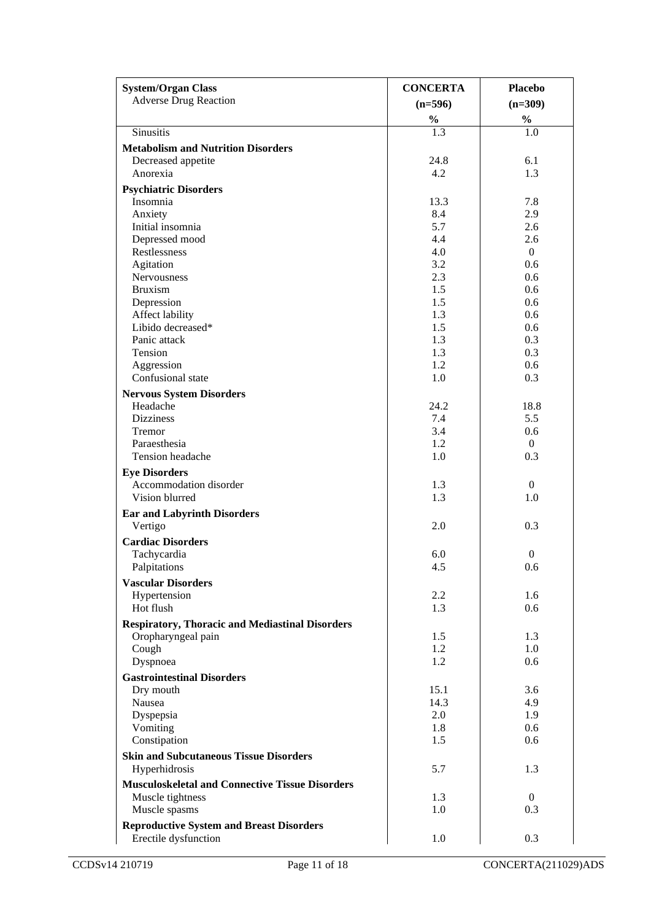| <b>System/Organ Class</b>                                                    | <b>CONCERTA</b>   | <b>Placebo</b>   |
|------------------------------------------------------------------------------|-------------------|------------------|
| <b>Adverse Drug Reaction</b>                                                 | $(n=596)$         | $(n=309)$        |
|                                                                              | $\frac{9}{6}$ 1.3 | $\frac{1}{2}$    |
| Sinusitis                                                                    |                   | 1.0              |
| <b>Metabolism and Nutrition Disorders</b>                                    |                   |                  |
| Decreased appetite                                                           | 24.8              | 6.1              |
| Anorexia                                                                     | 4.2               | 1.3              |
| <b>Psychiatric Disorders</b>                                                 |                   |                  |
| Insomnia                                                                     | 13.3              | 7.8              |
| Anxiety                                                                      | 8.4               | 2.9              |
| Initial insomnia<br>Depressed mood                                           | 5.7<br>4.4        | 2.6<br>2.6       |
| Restlessness                                                                 | 4.0               | $\overline{0}$   |
| Agitation                                                                    | 3.2               | 0.6              |
| Nervousness                                                                  | 2.3               | 0.6              |
| <b>Bruxism</b>                                                               | 1.5               | 0.6              |
| Depression                                                                   | 1.5               | 0.6              |
| Affect lability                                                              | 1.3               | 0.6              |
| Libido decreased*                                                            | 1.5               | 0.6              |
| Panic attack                                                                 | 1.3               | 0.3              |
| Tension<br>Aggression                                                        | 1.3<br>1.2        | 0.3<br>0.6       |
| Confusional state                                                            | 1.0               | 0.3              |
| <b>Nervous System Disorders</b>                                              |                   |                  |
| Headache                                                                     | 24.2              | 18.8             |
| <b>Dizziness</b>                                                             | 7.4               | 5.5              |
| Tremor                                                                       | 3.4               | 0.6              |
| Paraesthesia                                                                 | 1.2               | $\overline{0}$   |
| Tension headache                                                             | 1.0               | 0.3              |
| <b>Eye Disorders</b>                                                         |                   |                  |
| Accommodation disorder                                                       | 1.3               | $\overline{0}$   |
| Vision blurred                                                               | 1.3               | 1.0              |
| <b>Ear and Labyrinth Disorders</b>                                           |                   |                  |
| Vertigo                                                                      | 2.0               | 0.3              |
| <b>Cardiac Disorders</b>                                                     |                   |                  |
| Tachycardia                                                                  | 6.0               | $\boldsymbol{0}$ |
| Palpitations                                                                 | 4.5               | 0.6              |
| <b>Vascular Disorders</b>                                                    |                   |                  |
| Hypertension<br>Hot flush                                                    | 2.2<br>1.3        | 1.6<br>0.6       |
|                                                                              |                   |                  |
| <b>Respiratory, Thoracic and Mediastinal Disorders</b><br>Oropharyngeal pain | 1.5               | 1.3              |
| Cough                                                                        | 1.2               | 1.0              |
| Dyspnoea                                                                     | 1.2               | 0.6              |
| <b>Gastrointestinal Disorders</b>                                            |                   |                  |
| Dry mouth                                                                    | 15.1              | 3.6              |
| Nausea                                                                       | 14.3              | 4.9              |
| Dyspepsia                                                                    | 2.0               | 1.9              |
| Vomiting                                                                     | 1.8               | 0.6              |
| Constipation                                                                 | 1.5               | 0.6              |
| <b>Skin and Subcutaneous Tissue Disorders</b>                                |                   |                  |
| Hyperhidrosis                                                                | 5.7               | 1.3              |
| <b>Musculoskeletal and Connective Tissue Disorders</b>                       |                   |                  |
| Muscle tightness                                                             | 1.3               | $\overline{0}$   |
| Muscle spasms                                                                | 1.0               | 0.3              |
| <b>Reproductive System and Breast Disorders</b>                              |                   |                  |
| Erectile dysfunction                                                         | 1.0               | 0.3              |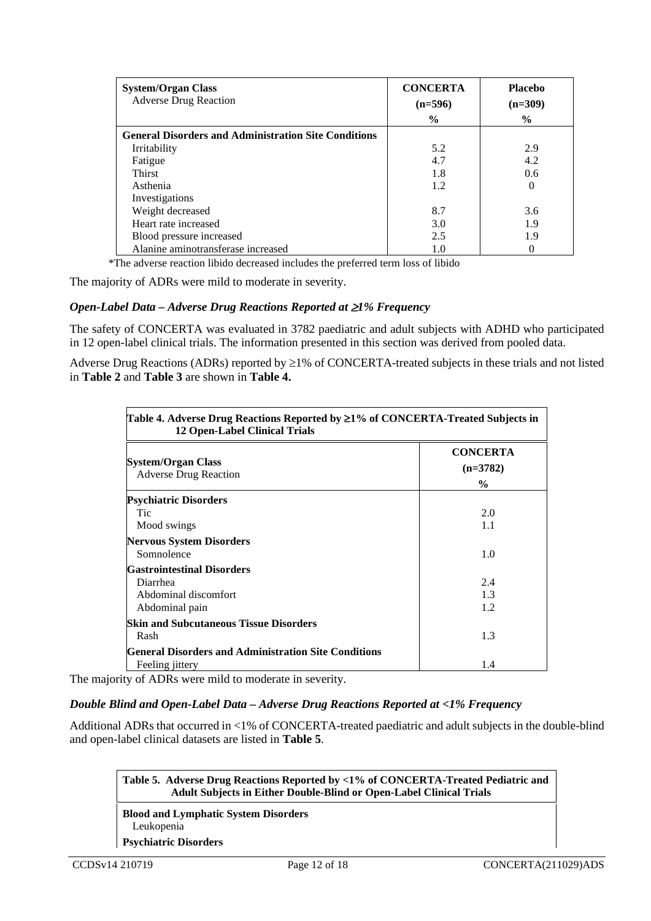| <b>System/Organ Class</b><br><b>Adverse Drug Reaction</b>   | <b>CONCERTA</b> | <b>Placebo</b> |
|-------------------------------------------------------------|-----------------|----------------|
|                                                             | $(n=596)$       | $(n=309)$      |
|                                                             | $\frac{0}{0}$   | $\frac{0}{0}$  |
| <b>General Disorders and Administration Site Conditions</b> |                 |                |
| Irritability                                                | 5.2             | 2.9            |
| Fatigue                                                     | 4.7             | 4.2            |
| <b>Thirst</b>                                               | 1.8             | $0.6^{\circ}$  |
| Asthenia                                                    | 1.2             | $\Omega$       |
| Investigations                                              |                 |                |
| Weight decreased                                            | 8.7             | 3.6            |
| Heart rate increased                                        | 3.0             | 1.9            |
| Blood pressure increased                                    | 2.5             | 1.9            |
| Alanine aminotransferase increased                          | 1.0             |                |

\*The adverse reaction libido decreased includes the preferred term loss of libido

The majority of ADRs were mild to moderate in severity.

#### *Open-Label Data – Adverse Drug Reactions Reported at* ≥*1% Frequency*

The safety of CONCERTA was evaluated in 3782 paediatric and adult subjects with ADHD who participated in 12 open-label clinical trials. The information presented in this section was derived from pooled data.

Adverse Drug Reactions (ADRs) reported by ≥1% of CONCERTA-treated subjects in these trials and not listed in **[Table 2](#page-9-0)** and **[Table 3](#page-9-1)** are shown in **[Table 4.](#page-11-0)**

<span id="page-11-0"></span>

| <b>System/Organ Class</b>                                   | <b>CONCERTA</b><br>$(n=3782)$ |
|-------------------------------------------------------------|-------------------------------|
| <b>Adverse Drug Reaction</b>                                | $\frac{0}{0}$                 |
| <b>Psychiatric Disorders</b>                                |                               |
| Tic                                                         | 2.0                           |
| Mood swings                                                 | 1.1                           |
| <b>Nervous System Disorders</b>                             |                               |
| Somnolence                                                  | 1.0                           |
| <b>Gastrointestinal Disorders</b>                           |                               |
| Diarrhea                                                    | 2.4                           |
| Abdominal discomfort                                        | 1.3                           |
| Abdominal pain                                              | 1.2                           |
| <b>Skin and Subcutaneous Tissue Disorders</b>               |                               |
| Rash                                                        | 1.3                           |
| <b>General Disorders and Administration Site Conditions</b> |                               |
| Feeling jittery                                             | 1.4                           |

The majority of ADRs were mild to moderate in severity.

#### *Double Blind and Open-Label Data – Adverse Drug Reactions Reported at <1% Frequency*

Additional ADRs that occurred in <1% of CONCERTA-treated paediatric and adult subjects in the double-blind and open-label clinical datasets are listed in **[Table 5](#page-11-1)**.

<span id="page-11-1"></span>**Table 5. Adverse Drug Reactions Reported by <1% of CONCERTA-Treated Pediatric and Adult Subjects in Either Double-Blind or Open-Label Clinical Trials**

**Blood and Lymphatic System Disorders** Leukopenia

**Psychiatric Disorders**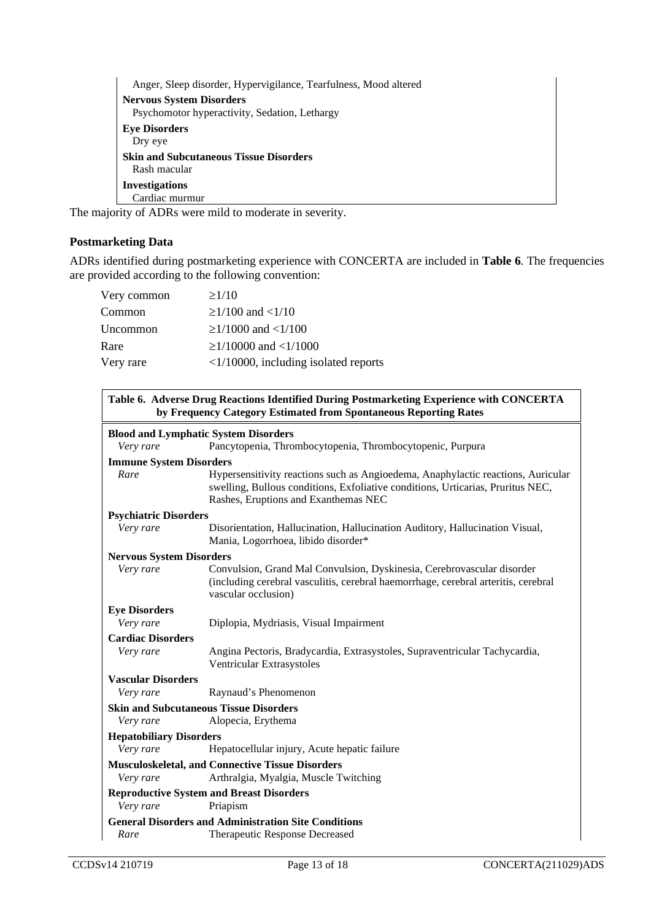| Anger, Sleep disorder, Hypervigilance, Tearfulness, Mood altered |
|------------------------------------------------------------------|
| <b>Nervous System Disorders</b>                                  |
| Psychomotor hyperactivity, Sedation, Lethargy                    |
| <b>Eye Disorders</b>                                             |
| Dry eye                                                          |
| <b>Skin and Subcutaneous Tissue Disorders</b>                    |
| Rash macular                                                     |
| <b>Investigations</b>                                            |
| Cardiac murmur                                                   |

The majority of ADRs were mild to moderate in severity.

#### **Postmarketing Data**

ADRs identified during postmarketing experience with CONCERTA are included in **[Table 6](#page-12-0)**. The frequencies are provided according to the following convention:

| Very common | $\geq$ 1/10                                    |
|-------------|------------------------------------------------|
| Common      | $\geq$ 1/100 and <1/10                         |
| Uncommon    | $\geq$ 1/1000 and <1/100                       |
| Rare        | $\geq$ 1/10000 and <1/1000                     |
| Very rare   | $\langle 1/10000$ , including isolated reports |

<span id="page-12-0"></span>

| Table 6. Adverse Drug Reactions Identified During Postmarketing Experience with CONCERTA<br>by Frequency Category Estimated from Spontaneous Reporting Rates |                                                                                                                                                                                                             |  |
|--------------------------------------------------------------------------------------------------------------------------------------------------------------|-------------------------------------------------------------------------------------------------------------------------------------------------------------------------------------------------------------|--|
| <b>Blood and Lymphatic System Disorders</b>                                                                                                                  |                                                                                                                                                                                                             |  |
| Very rare                                                                                                                                                    | Pancytopenia, Thrombocytopenia, Thrombocytopenic, Purpura                                                                                                                                                   |  |
| <b>Immune System Disorders</b>                                                                                                                               |                                                                                                                                                                                                             |  |
| Rare                                                                                                                                                         | Hypersensitivity reactions such as Angioedema, Anaphylactic reactions, Auricular<br>swelling, Bullous conditions, Exfoliative conditions, Urticarias, Pruritus NEC,<br>Rashes, Eruptions and Exanthemas NEC |  |
| <b>Psychiatric Disorders</b>                                                                                                                                 |                                                                                                                                                                                                             |  |
| Very rare                                                                                                                                                    | Disorientation, Hallucination, Hallucination Auditory, Hallucination Visual,<br>Mania, Logorrhoea, libido disorder*                                                                                         |  |
| <b>Nervous System Disorders</b>                                                                                                                              |                                                                                                                                                                                                             |  |
| Very rare                                                                                                                                                    | Convulsion, Grand Mal Convulsion, Dyskinesia, Cerebrovascular disorder<br>(including cerebral vasculitis, cerebral haemorrhage, cerebral arteritis, cerebral<br>vascular occlusion)                         |  |
| <b>Eye Disorders</b>                                                                                                                                         |                                                                                                                                                                                                             |  |
| Very rare                                                                                                                                                    | Diplopia, Mydriasis, Visual Impairment                                                                                                                                                                      |  |
| <b>Cardiac Disorders</b>                                                                                                                                     |                                                                                                                                                                                                             |  |
| Very rare                                                                                                                                                    | Angina Pectoris, Bradycardia, Extrasystoles, Supraventricular Tachycardia,<br>Ventricular Extrasystoles                                                                                                     |  |
| <b>Vascular Disorders</b>                                                                                                                                    |                                                                                                                                                                                                             |  |
| Very rare                                                                                                                                                    | Raynaud's Phenomenon                                                                                                                                                                                        |  |
|                                                                                                                                                              | <b>Skin and Subcutaneous Tissue Disorders</b>                                                                                                                                                               |  |
| Very rare                                                                                                                                                    | Alopecia, Erythema                                                                                                                                                                                          |  |
| <b>Hepatobiliary Disorders</b>                                                                                                                               |                                                                                                                                                                                                             |  |
| Very rare                                                                                                                                                    | Hepatocellular injury, Acute hepatic failure                                                                                                                                                                |  |
|                                                                                                                                                              | <b>Musculoskeletal, and Connective Tissue Disorders</b>                                                                                                                                                     |  |
| Very rare                                                                                                                                                    | Arthralgia, Myalgia, Muscle Twitching                                                                                                                                                                       |  |
|                                                                                                                                                              | <b>Reproductive System and Breast Disorders</b>                                                                                                                                                             |  |
| Very rare                                                                                                                                                    | Priapism                                                                                                                                                                                                    |  |
|                                                                                                                                                              | <b>General Disorders and Administration Site Conditions</b>                                                                                                                                                 |  |
| Rare                                                                                                                                                         | Therapeutic Response Decreased                                                                                                                                                                              |  |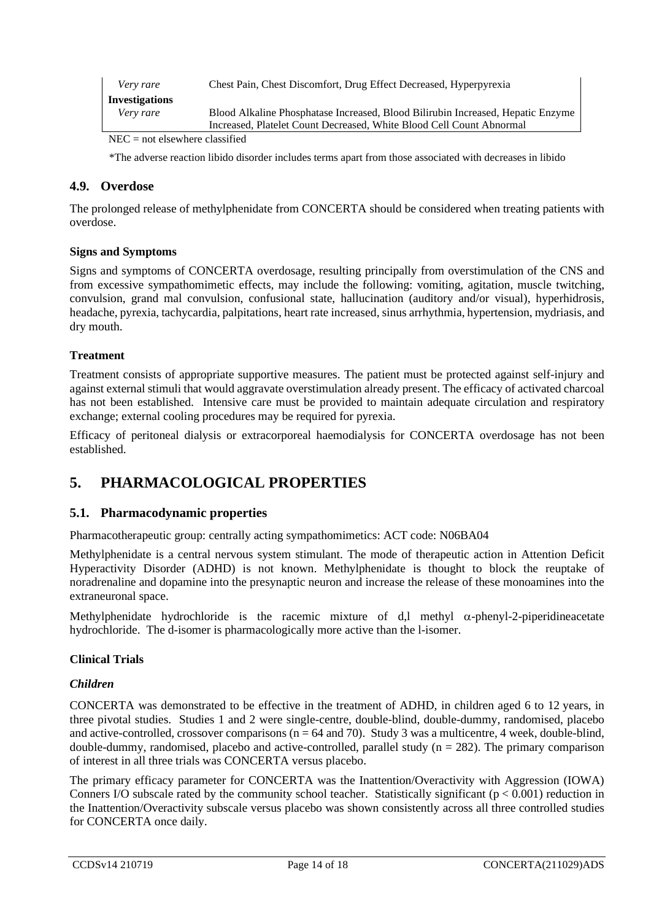| Very rare             | Chest Pain, Chest Discomfort, Drug Effect Decreased, Hyperpyrexia               |
|-----------------------|---------------------------------------------------------------------------------|
| <b>Investigations</b> |                                                                                 |
| Very rare             | Blood Alkaline Phosphatase Increased, Blood Bilirubin Increased, Hepatic Enzyme |
|                       | Increased, Platelet Count Decreased, White Blood Cell Count Abnormal            |
|                       |                                                                                 |

NEC = not elsewhere classified

\*The adverse reaction libido disorder includes terms apart from those associated with decreases in libido

#### **4.9. Overdose**

The prolonged release of methylphenidate from CONCERTA should be considered when treating patients with overdose.

#### **Signs and Symptoms**

Signs and symptoms of CONCERTA overdosage, resulting principally from overstimulation of the CNS and from excessive sympathomimetic effects, may include the following: vomiting, agitation, muscle twitching, convulsion, grand mal convulsion, confusional state, hallucination (auditory and/or visual), hyperhidrosis, headache, pyrexia, tachycardia, palpitations, heart rate increased, sinus arrhythmia, hypertension, mydriasis, and dry mouth.

#### **Treatment**

Treatment consists of appropriate supportive measures. The patient must be protected against self-injury and against external stimuli that would aggravate overstimulation already present. The efficacy of activated charcoal has not been established. Intensive care must be provided to maintain adequate circulation and respiratory exchange; external cooling procedures may be required for pyrexia.

Efficacy of peritoneal dialysis or extracorporeal haemodialysis for CONCERTA overdosage has not been established.

### **5. PHARMACOLOGICAL PROPERTIES**

#### **5.1. Pharmacodynamic properties**

Pharmacotherapeutic group: centrally acting sympathomimetics: ACT code: N06BA04

Methylphenidate is a central nervous system stimulant. The mode of therapeutic action in Attention Deficit Hyperactivity Disorder (ADHD) is not known. Methylphenidate is thought to block the reuptake of noradrenaline and dopamine into the presynaptic neuron and increase the release of these monoamines into the extraneuronal space.

Methylphenidate hydrochloride is the racemic mixture of d,l methyl  $\alpha$ -phenyl-2-piperidineacetate hydrochloride. The d-isomer is pharmacologically more active than the l-isomer.

#### <span id="page-13-0"></span>**Clinical Trials**

#### *Children*

CONCERTA was demonstrated to be effective in the treatment of ADHD, in children aged 6 to 12 years, in three pivotal studies. Studies 1 and 2 were single-centre, double-blind, double-dummy, randomised, placebo and active-controlled, crossover comparisons  $(n = 64$  and 70). Study 3 was a multicentre, 4 week, double-blind, double-dummy, randomised, placebo and active-controlled, parallel study  $(n = 282)$ . The primary comparison of interest in all three trials was CONCERTA versus placebo.

The primary efficacy parameter for CONCERTA was the Inattention/Overactivity with Aggression (IOWA) Conners I/O subscale rated by the community school teacher. Statistically significant  $(p < 0.001)$  reduction in the Inattention/Overactivity subscale versus placebo was shown consistently across all three controlled studies for CONCERTA once daily.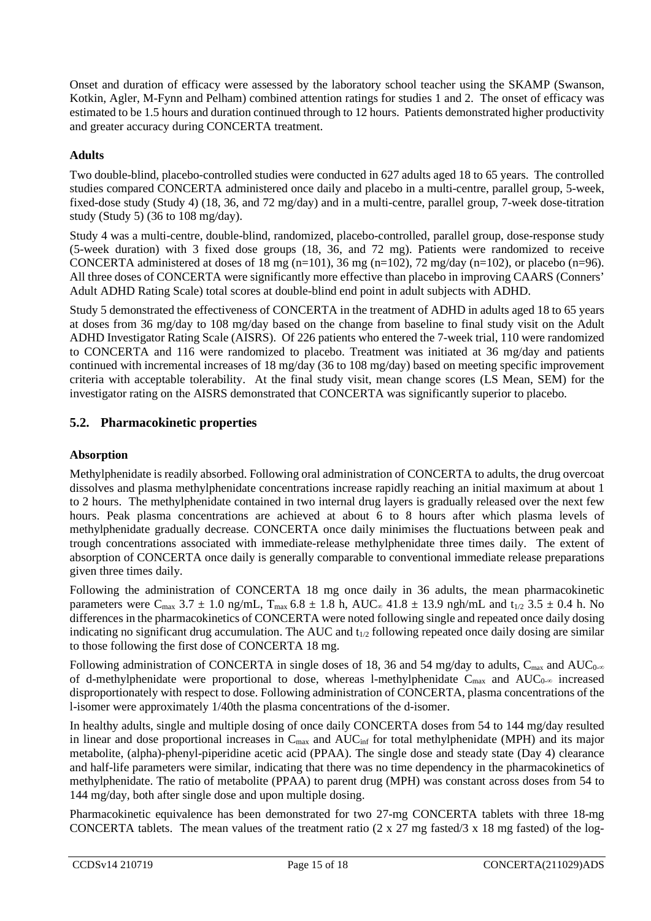Onset and duration of efficacy were assessed by the laboratory school teacher using the SKAMP (Swanson, Kotkin, Agler, M-Fynn and Pelham) combined attention ratings for studies 1 and 2. The onset of efficacy was estimated to be 1.5 hours and duration continued through to 12 hours. Patients demonstrated higher productivity and greater accuracy during CONCERTA treatment.

#### **Adults**

Two double-blind, placebo-controlled studies were conducted in 627 adults aged 18 to 65 years. The controlled studies compared CONCERTA administered once daily and placebo in a multi-centre, parallel group, 5-week, fixed-dose study (Study 4) (18, 36, and 72 mg/day) and in a multi-centre, parallel group, 7-week dose-titration study (Study 5) (36 to 108 mg/day).

Study 4 was a multi-centre, double-blind, randomized, placebo-controlled, parallel group, dose-response study (5-week duration) with 3 fixed dose groups (18, 36, and 72 mg). Patients were randomized to receive CONCERTA administered at doses of 18 mg (n=101), 36 mg (n=102), 72 mg/day (n=102), or placebo (n=96). All three doses of CONCERTA were significantly more effective than placebo in improving CAARS (Conners' Adult ADHD Rating Scale) total scores at double-blind end point in adult subjects with ADHD.

Study 5 demonstrated the effectiveness of CONCERTA in the treatment of ADHD in adults aged 18 to 65 years at doses from 36 mg/day to 108 mg/day based on the change from baseline to final study visit on the Adult ADHD Investigator Rating Scale (AISRS). Of 226 patients who entered the 7-week trial, 110 were randomized to CONCERTA and 116 were randomized to placebo. Treatment was initiated at 36 mg/day and patients continued with incremental increases of 18 mg/day (36 to 108 mg/day) based on meeting specific improvement criteria with acceptable tolerability. At the final study visit, mean change scores (LS Mean, SEM) for the investigator rating on the AISRS demonstrated that CONCERTA was significantly superior to placebo.

#### **5.2. Pharmacokinetic properties**

#### **Absorption**

Methylphenidate is readily absorbed. Following oral administration of CONCERTA to adults, the drug overcoat dissolves and plasma methylphenidate concentrations increase rapidly reaching an initial maximum at about 1 to 2 hours. The methylphenidate contained in two internal drug layers is gradually released over the next few hours. Peak plasma concentrations are achieved at about 6 to 8 hours after which plasma levels of methylphenidate gradually decrease. CONCERTA once daily minimises the fluctuations between peak and trough concentrations associated with immediate-release methylphenidate three times daily. The extent of absorption of CONCERTA once daily is generally comparable to conventional immediate release preparations given three times daily.

Following the administration of CONCERTA 18 mg once daily in 36 adults, the mean pharmacokinetic parameters were C<sub>max</sub> 3.7  $\pm$  1.0 ng/mL, T<sub>max</sub> 6.8  $\pm$  1.8 h, AUC∞ 41.8  $\pm$  13.9 ngh/mL and t<sub>1/2</sub> 3.5  $\pm$  0.4 h. No differences in the pharmacokinetics of CONCERTA were noted following single and repeated once daily dosing indicating no significant drug accumulation. The AUC and  $t_{1/2}$  following repeated once daily dosing are similar to those following the first dose of CONCERTA 18 mg.

Following administration of CONCERTA in single doses of 18, 36 and 54 mg/day to adults,  $C_{\text{max}}$  and AUC<sub>0</sub>- $\infty$ of d-methylphenidate were proportional to dose, whereas l-methylphenidate  $C_{\text{max}}$  and  $AUC_{0-\infty}$  increased disproportionately with respect to dose. Following administration of CONCERTA, plasma concentrations of the l-isomer were approximately 1/40th the plasma concentrations of the d-isomer.

In healthy adults, single and multiple dosing of once daily CONCERTA doses from 54 to 144 mg/day resulted in linear and dose proportional increases in  $C_{\text{max}}$  and  $AUC_{\text{inf}}$  for total methylphenidate (MPH) and its major metabolite, (alpha)-phenyl-piperidine acetic acid (PPAA). The single dose and steady state (Day 4) clearance and half-life parameters were similar, indicating that there was no time dependency in the pharmacokinetics of methylphenidate. The ratio of metabolite (PPAA) to parent drug (MPH) was constant across doses from 54 to 144 mg/day, both after single dose and upon multiple dosing.

Pharmacokinetic equivalence has been demonstrated for two 27-mg CONCERTA tablets with three 18-mg CONCERTA tablets. The mean values of the treatment ratio  $(2 \times 27 \text{ mg fasted}/3 \times 18 \text{ mg fasted})$  of the log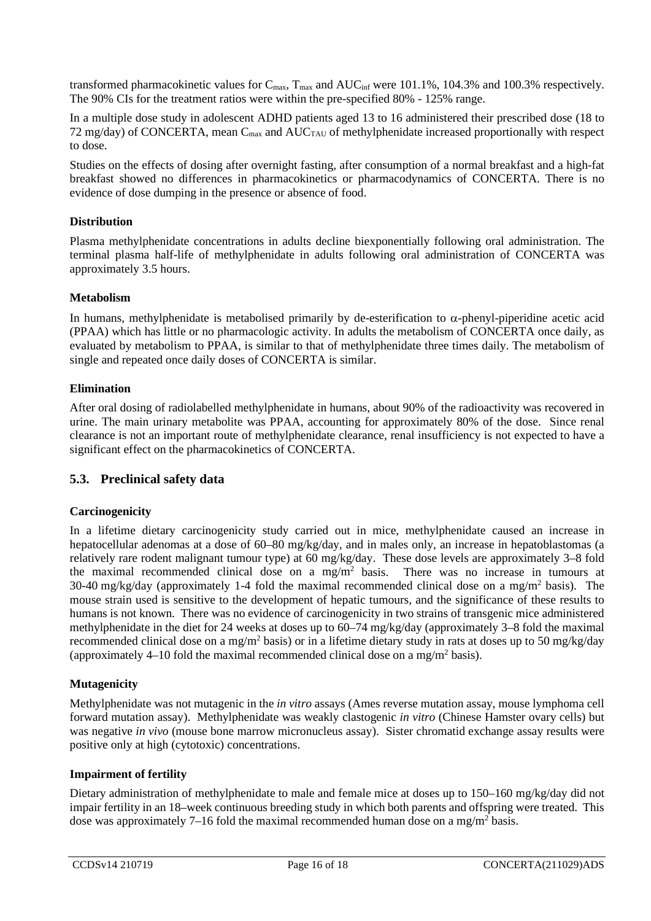transformed pharmacokinetic values for  $C_{\text{max}}$ ,  $T_{\text{max}}$  and  $AUC_{\text{inf}}$  were 101.1%, 104.3% and 100.3% respectively. The 90% CIs for the treatment ratios were within the pre-specified 80% - 125% range.

In a multiple dose study in adolescent ADHD patients aged 13 to 16 administered their prescribed dose (18 to 72 mg/day) of CONCERTA, mean  $C_{\text{max}}$  and  $AUC_{\text{TAU}}$  of methylphenidate increased proportionally with respect to dose.

Studies on the effects of dosing after overnight fasting, after consumption of a normal breakfast and a high-fat breakfast showed no differences in pharmacokinetics or pharmacodynamics of CONCERTA. There is no evidence of dose dumping in the presence or absence of food.

#### **Distribution**

Plasma methylphenidate concentrations in adults decline biexponentially following oral administration. The terminal plasma half-life of methylphenidate in adults following oral administration of CONCERTA was approximately 3.5 hours.

#### **Metabolism**

In humans, methylphenidate is metabolised primarily by de-esterification to  $\alpha$ -phenyl-piperidine acetic acid (PPAA) which has little or no pharmacologic activity. In adults the metabolism of CONCERTA once daily, as evaluated by metabolism to PPAA, is similar to that of methylphenidate three times daily. The metabolism of single and repeated once daily doses of CONCERTA is similar.

#### **Elimination**

After oral dosing of radiolabelled methylphenidate in humans, about 90% of the radioactivity was recovered in urine. The main urinary metabolite was PPAA, accounting for approximately 80% of the dose. Since renal clearance is not an important route of methylphenidate clearance, renal insufficiency is not expected to have a significant effect on the pharmacokinetics of CONCERTA.

#### **5.3. Preclinical safety data**

#### **Carcinogenicity**

In a lifetime dietary carcinogenicity study carried out in mice, methylphenidate caused an increase in hepatocellular adenomas at a dose of 60–80 mg/kg/day, and in males only, an increase in hepatoblastomas (a relatively rare rodent malignant tumour type) at 60 mg/kg/day. These dose levels are approximately 3–8 fold the maximal recommended clinical dose on a  $mg/m<sup>2</sup>$  basis. There was no increase in tumours at 30-40 mg/kg/day (approximately 1-4 fold the maximal recommended clinical dose on a mg/m<sup>2</sup> basis). The mouse strain used is sensitive to the development of hepatic tumours, and the significance of these results to humans is not known. There was no evidence of carcinogenicity in two strains of transgenic mice administered methylphenidate in the diet for 24 weeks at doses up to 60–74 mg/kg/day (approximately 3–8 fold the maximal recommended clinical dose on a mg/m2 basis) or in a lifetime dietary study in rats at doses up to 50 mg/kg/day (approximately 4–10 fold the maximal recommended clinical dose on a mg/m<sup>2</sup> basis).

#### **Mutagenicity**

Methylphenidate was not mutagenic in the *in vitro* assays (Ames reverse mutation assay, mouse lymphoma cell forward mutation assay). Methylphenidate was weakly clastogenic *in vitro* (Chinese Hamster ovary cells) but was negative *in vivo* (mouse bone marrow micronucleus assay). Sister chromatid exchange assay results were positive only at high (cytotoxic) concentrations.

#### **Impairment of fertility**

Dietary administration of methylphenidate to male and female mice at doses up to 150–160 mg/kg/day did not impair fertility in an 18–week continuous breeding study in which both parents and offspring were treated. This dose was approximately 7–16 fold the maximal recommended human dose on a mg/m<sup>2</sup> basis.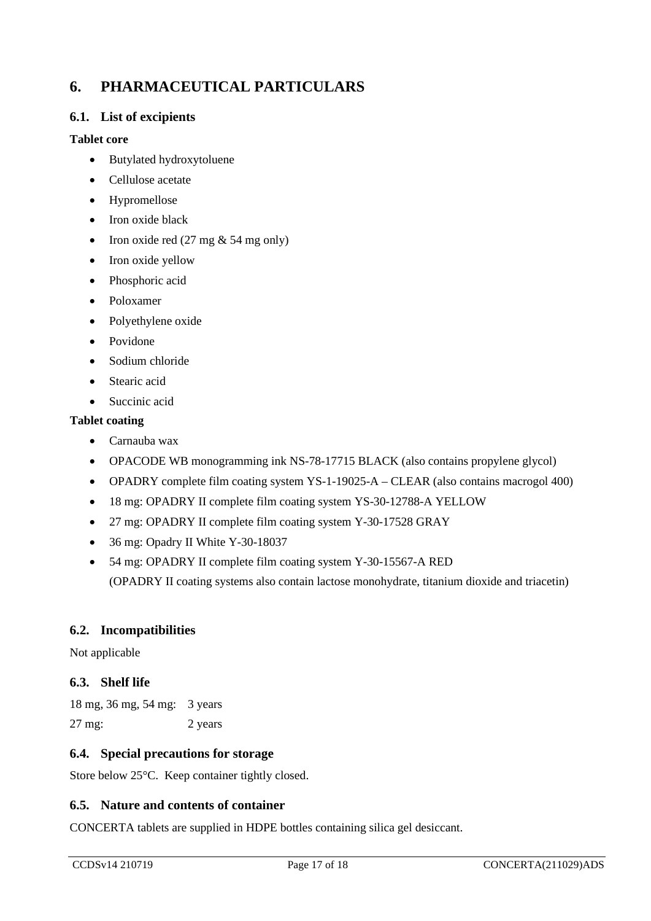# **6. PHARMACEUTICAL PARTICULARS**

#### <span id="page-16-0"></span>**6.1. List of excipients**

#### **Tablet core**

- Butylated hydroxytoluene
- Cellulose acetate
- Hypromellose
- Iron oxide black
- Iron oxide red  $(27 \text{ mg} \& 54 \text{ mg only})$
- Iron oxide yellow
- Phosphoric acid
- Poloxamer
- Polyethylene oxide
- Povidone
- Sodium chloride
- Stearic acid
- Succinic acid

#### **Tablet coating**

- Carnauba wax
- OPACODE WB monogramming ink NS-78-17715 BLACK (also contains propylene glycol)
- OPADRY complete film coating system YS-1-19025-A CLEAR (also contains macrogol 400)
- 18 mg: OPADRY II complete film coating system YS-30-12788-A YELLOW
- 27 mg: OPADRY II complete film coating system Y-30-17528 GRAY
- 36 mg: Opadry II White Y-30-18037
- 54 mg: OPADRY II complete film coating system Y-30-15567-A RED (OPADRY II coating systems also contain lactose monohydrate, titanium dioxide and triacetin)

#### **6.2. Incompatibilities**

Not applicable

#### **6.3. Shelf life**

| 18 mg, 36 mg, 54 mg: 3 years |         |
|------------------------------|---------|
| 27 mg:                       | 2 years |

#### **6.4. Special precautions for storage**

Store below 25°C. Keep container tightly closed.

#### **6.5. Nature and contents of container**

CONCERTA tablets are supplied in HDPE bottles containing silica gel desiccant.